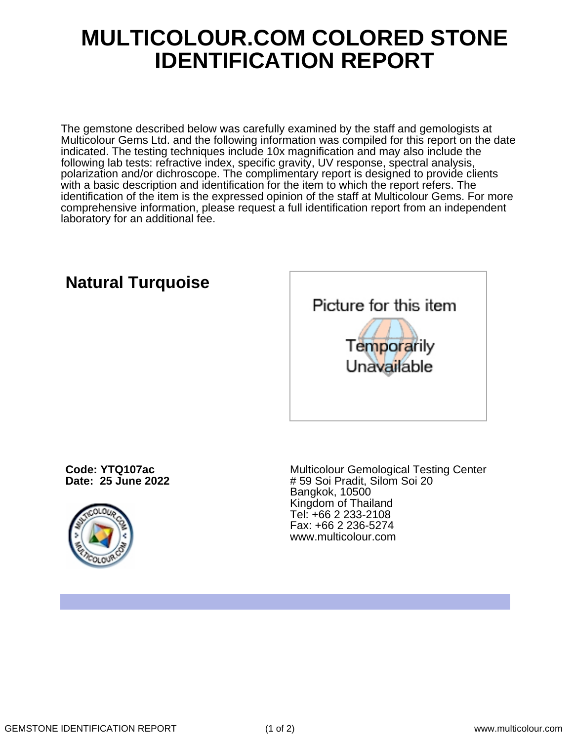## **MULTICOLOUR.COM COLORED STONE IDENTIFICATION REPORT**

The gemstone described below was carefully examined by the staff and gemologists at Multicolour Gems Ltd. and the following information was compiled for this report on the date indicated. The testing techniques include 10x magnification and may also include the following lab tests: refractive index, specific gravity, UV response, spectral analysis, polarization and/or dichroscope. The complimentary report is designed to provide clients with a basic description and identification for the item to which the report refers. The identification of the item is the expressed opinion of the staff at Multicolour Gems. For more comprehensive information, please request a full identification report from an independent laboratory for an additional fee.



**Code: YTQ107ac**

**Date: 25 June 2022**

**Natural Turquoise**



Multicolour Gemological Testing Center # 59 Soi Pradit, Silom Soi 20 Bangkok, 10500 Kingdom of Thailand Tel: +66 2 233-2108 Fax: +66 2 236-5274 www.multicolour.com